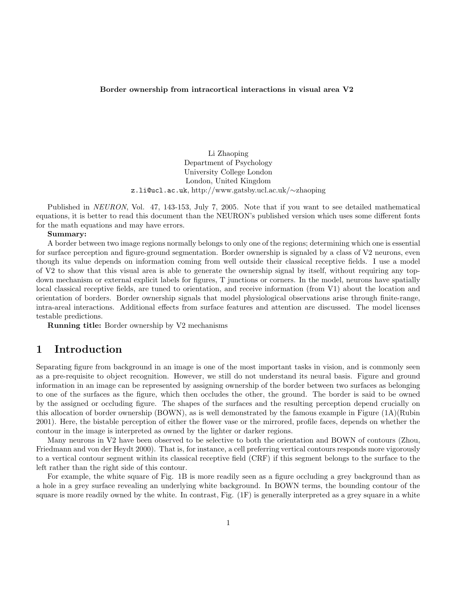#### Border ownership from intracortical interactions in visual area V2

Li Zhaoping Department of Psychology University College London London, United Kingdom z.li@ucl.ac.uk, http://www.gatsby.ucl.ac.uk/∼zhaoping

Published in NEURON, Vol. 47, 143-153, July 7, 2005. Note that if you want to see detailed mathematical equations, it is better to read this document than the NEURON's published version which uses some different fonts for the math equations and may have errors.

### Summary:

A border between two image regions normally belongs to only one of the regions; determining which one is essential for surface perception and figure-ground segmentation. Border ownership is signaled by a class of V2 neurons, even though its value depends on information coming from well outside their classical receptive fields. I use a model of V2 to show that this visual area is able to generate the ownership signal by itself, without requiring any topdown mechanism or external explicit labels for figures, T junctions or corners. In the model, neurons have spatially local classical receptive fields, are tuned to orientation, and receive information (from V1) about the location and orientation of borders. Border ownership signals that model physiological observations arise through finite-range, intra-areal interactions. Additional effects from surface features and attention are discussed. The model licenses testable predictions.

Running title: Border ownership by V2 mechanisms

# 1 Introduction

Separating figure from background in an image is one of the most important tasks in vision, and is commonly seen as a pre-requisite to object recognition. However, we still do not understand its neural basis. Figure and ground information in an image can be represented by assigning ownership of the border between two surfaces as belonging to one of the surfaces as the figure, which then occludes the other, the ground. The border is said to be owned by the assigned or occluding figure. The shapes of the surfaces and the resulting perception depend crucially on this allocation of border ownership (BOWN), as is well demonstrated by the famous example in Figure (1A)(Rubin 2001). Here, the bistable perception of either the flower vase or the mirrored, profile faces, depends on whether the contour in the image is interpreted as owned by the lighter or darker regions.

Many neurons in V2 have been observed to be selective to both the orientation and BOWN of contours (Zhou, Friedmann and von der Heydt 2000). That is, for instance, a cell preferring vertical contours responds more vigorously to a vertical contour segment within its classical receptive field (CRF) if this segment belongs to the surface to the left rather than the right side of this contour.

For example, the white square of Fig. 1B is more readily seen as a figure occluding a grey background than as a hole in a grey surface revealing an underlying white background. In BOWN terms, the bounding contour of the square is more readily owned by the white. In contrast, Fig. (1F) is generally interpreted as a grey square in a white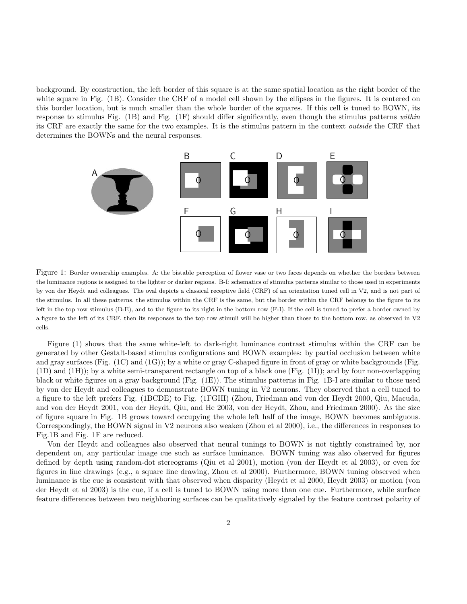background. By construction, the left border of this square is at the same spatial location as the right border of the white square in Fig. (1B). Consider the CRF of a model cell shown by the ellipses in the figures. It is centered on this border location, but is much smaller than the whole border of the squares. If this cell is tuned to BOWN, its response to stimulus Fig. (1B) and Fig. (1F) should differ significantly, even though the stimulus patterns within its CRF are exactly the same for the two examples. It is the stimulus pattern in the context outside the CRF that determines the BOWNs and the neural responses.



Figure 1: Border ownership examples. A: the bistable perception of flower vase or two faces depends on whether the borders between the luminance regions is assigned to the lighter or darker regions. B-I: schematics of stimulus patterns similar to those used in experiments by von der Heydt and colleagues. The oval depicts a classical receptive field (CRF) of an orientation tuned cell in V2, and is not part of the stimulus. In all these patterns, the stimulus within the CRF is the same, but the border within the CRF belongs to the figure to its left in the top row stimulus (B-E), and to the figure to its right in the bottom row (F-I). If the cell is tuned to prefer a border owned by a figure to the left of its CRF, then its responses to the top row stimuli will be higher than those to the bottom row, as observed in V2 cells.

Figure (1) shows that the same white-left to dark-right luminance contrast stimulus within the CRF can be generated by other Gestalt-based stimulus configurations and BOWN examples: by partial occlusion between white and gray surfaces (Fig.  $(1C)$  and  $(1G)$ ); by a white or gray C-shaped figure in front of gray or white backgrounds (Fig. (1D) and (1H)); by a white semi-transparent rectangle on top of a black one (Fig. (1I)); and by four non-overlapping black or white figures on a gray background (Fig. (1E)). The stimulus patterns in Fig. 1B-I are similar to those used by von der Heydt and colleagues to demonstrate BOWN tuning in V2 neurons. They observed that a cell tuned to a figure to the left prefers Fig. (1BCDE) to Fig. (1FGHI) (Zhou, Friedman and von der Heydt 2000, Qiu, Macuda, and von der Heydt 2001, von der Heydt, Qiu, and He 2003, von der Heydt, Zhou, and Friedman 2000). As the size of figure square in Fig. 1B grows toward occupying the whole left half of the image, BOWN becomes ambiguous. Correspondingly, the BOWN signal in V2 neurons also weaken (Zhou et al 2000), i.e., the differences in responses to Fig.1B and Fig. 1F are reduced.

Von der Heydt and colleagues also observed that neural tunings to BOWN is not tightly constrained by, nor dependent on, any particular image cue such as surface luminance. BOWN tuning was also observed for figures defined by depth using random-dot stereograms (Qiu et al 2001), motion (von der Heydt et al 2003), or even for figures in line drawings (e.g., a square line drawing, Zhou et al 2000). Furthermore, BOWN tuning observed when luminance is the cue is consistent with that observed when disparity (Heydt et al 2000, Heydt 2003) or motion (von der Heydt et al 2003) is the cue, if a cell is tuned to BOWN using more than one cue. Furthermore, while surface feature differences between two neighboring surfaces can be qualitatively signaled by the feature contrast polarity of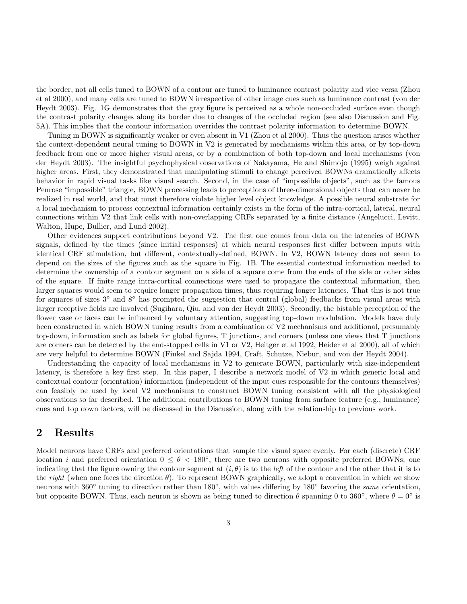the border, not all cells tuned to BOWN of a contour are tuned to luminance contrast polarity and vice versa (Zhou et al 2000), and many cells are tuned to BOWN irrespective of other image cues such as luminance contrast (von der Heydt 2003). Fig. 1G demonstrates that the gray figure is perceived as a whole non-occluded surface even though the contrast polarity changes along its border due to changes of the occluded region (see also Discussion and Fig. 5A). This implies that the contour information overrides the contrast polarity information to determine BOWN.

Tuning in BOWN is significantly weaker or even absent in V1 (Zhou et al 2000). Thus the question arises whether the context-dependent neural tuning to BOWN in V2 is generated by mechanisms within this area, or by top-down feedback from one or more higher visual areas, or by a combination of both top-down and local mechanisms (von der Heydt 2003). The insightful psychophysical observations of Nakayama, He and Shimojo (1995) weigh against higher areas. First, they demonstrated that manipulating stimuli to change perceived BOWNs dramatically affects behavior in rapid visual tasks like visual search. Second, in the case of "impossible objects", such as the famous Penrose "impossible" triangle, BOWN processing leads to perceptions of three-dimensional objects that can never be realized in real world, and that must therefore violate higher level object knowledge. A possible neural substrate for a local mechanism to process contextual information certainly exists in the form of the intra-cortical, lateral, neural connections within V2 that link cells with non-overlapping CRFs separated by a finite distance (Angelucci, Levitt, Walton, Hupe, Bullier, and Lund 2002).

Other evidences support contributions beyond V2. The first one comes from data on the latencies of BOWN signals, defined by the times (since initial responses) at which neural responses first differ between inputs with identical CRF stimulation, but different, contextually-defined, BOWN. In V2, BOWN latency does not seem to depend on the sizes of the figures such as the square in Fig. 1B. The essential contextual information needed to determine the ownership of a contour segment on a side of a square come from the ends of the side or other sides of the square. If finite range intra-cortical connections were used to propagate the contextual information, then larger squares would seem to require longer propagation times, thus requiring longer latencies. That this is not true for squares of sizes 3° and 8° has prompted the suggestion that central (global) feedbacks from visual areas with larger receptive fields are involved (Sugihara, Qiu, and von der Heydt 2003). Secondly, the bistable perception of the flower vase or faces can be influenced by voluntary attention, suggesting top-down modulation. Models have duly been constructed in which BOWN tuning results from a combination of V2 mechanisms and additional, presumably top-down, information such as labels for global figures, T junctions, and corners (unless one views that T junctions are corners can be detected by the end-stopped cells in V1 or V2, Heitger et al 1992, Heider et al 2000), all of which are very helpful to determine BOWN (Finkel and Sajda 1994, Craft, Schutze, Niebur, and von der Heydt 2004).

Understanding the capacity of local mechanisms in V2 to generate BOWN, particularly with size-independent latency, is therefore a key first step. In this paper, I describe a network model of V2 in which generic local and contextual contour (orientation) information (independent of the input cues responsible for the contours themselves) can feasibly be used by local V2 mechanisms to construct BOWN tuning consistent with all the physiological observations so far described. The additional contributions to BOWN tuning from surface feature (e.g., luminance) cues and top down factors, will be discussed in the Discussion, along with the relationship to previous work.

# 2 Results

Model neurons have CRFs and preferred orientations that sample the visual space evenly. For each (discrete) CRF location i and preferred orientation  $0 \le \theta < 180^{\circ}$ , there are two neurons with opposite preferred BOWNs; one indicating that the figure owning the contour segment at  $(i, \theta)$  is to the *left* of the contour and the other that it is to the right (when one faces the direction  $\theta$ ). To represent BOWN graphically, we adopt a convention in which we show neurons with 360° tuning to direction rather than 180°, with values differing by 180° favoring the same orientation, but opposite BOWN. Thus, each neuron is shown as being tuned to direction  $\theta$  spanning 0 to 360°, where  $\theta = 0^{\circ}$  is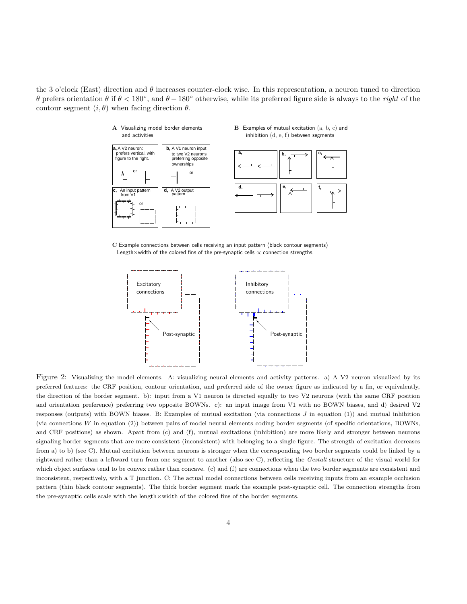the 3 o'clock (East) direction and  $\theta$  increases counter-clock wise. In this representation, a neuron tuned to direction θ prefers orientation θ if  $θ < 180°$ , and  $θ - 180°$  otherwise, while its preferred figure side is always to the *right* of the contour segment  $(i, \theta)$  when facing direction  $\theta$ .

> A Visualizing model border elements and activities







C Example connections between cells receiving an input pattern (black contour segments) Length×width of the colored fins of the pre-synaptic cells  $\propto$  connection strengths.



Figure 2: Visualizing the model elements. A: visualizing neural elements and activity patterns. a) A V2 neuron visualized by its preferred features: the CRF position, contour orientation, and preferred side of the owner figure as indicated by a fin, or equivalently, the direction of the border segment. b): input from a V1 neuron is directed equally to two V2 neurons (with the same CRF position and orientation preference) preferring two opposite BOWNs. c): an input image from V1 with no BOWN biases, and d) desired V2 responses (outputs) with BOWN biases. B: Examples of mutual excitation (via connections  $J$  in equation  $(1)$ ) and mutual inhibition (via connections W in equation (2)) between pairs of model neural elements coding border segments (of specific orientations, BOWNs, and CRF positions) as shown. Apart from (c) and (f), mutual excitations (inhibition) are more likely and stronger between neurons signaling border segments that are more consistent (inconsistent) with belonging to a single figure. The strength of excitation decreases from a) to b) (see C). Mutual excitation between neurons is stronger when the corresponding two border segments could be linked by a rightward rather than a leftward turn from one segment to another (also see C), reflecting the Gestalt structure of the visual world for which object surfaces tend to be convex rather than concave. (c) and (f) are connections when the two border segments are consistent and inconsistent, respectively, with a T junction. C: The actual model connections between cells receiving inputs from an example occlusion pattern (thin black contour segments). The thick border segment mark the example post-synaptic cell. The connection strengths from the pre-synaptic cells scale with the length×width of the colored fins of the border segments.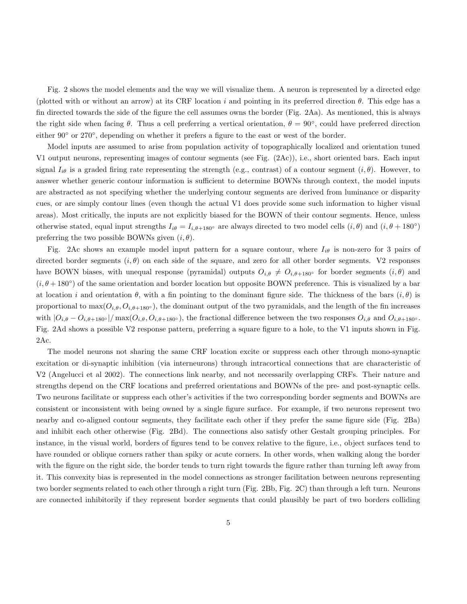Fig. 2 shows the model elements and the way we will visualize them. A neuron is represented by a directed edge (plotted with or without an arrow) at its CRF location i and pointing in its preferred direction  $\theta$ . This edge has a fin directed towards the side of the figure the cell assumes owns the border (Fig. 2Aa). As mentioned, this is always the right side when facing  $\theta$ . Thus a cell preferring a vertical orientation,  $\theta = 90^{\circ}$ , could have preferred direction either 90° or 270°, depending on whether it prefers a figure to the east or west of the border.

Model inputs are assumed to arise from population activity of topographically localized and orientation tuned V1 output neurons, representing images of contour segments (see Fig. (2Ac)), i.e., short oriented bars. Each input signal  $I_{i\theta}$  is a graded firing rate representing the strength (e.g., contrast) of a contour segment  $(i, \theta)$ . However, to answer whether generic contour information is sufficient to determine BOWNs through context, the model inputs are abstracted as not specifying whether the underlying contour segments are derived from luminance or disparity cues, or are simply contour lines (even though the actual V1 does provide some such information to higher visual areas). Most critically, the inputs are not explicitly biased for the BOWN of their contour segments. Hence, unless otherwise stated, equal input strengths  $I_{i\theta} = I_{i,\theta+180^{\circ}}$  are always directed to two model cells  $(i, \theta)$  and  $(i, \theta + 180^{\circ})$ preferring the two possible BOWNs given  $(i, \theta)$ .

Fig. 2Ac shows an example model input pattern for a square contour, where  $I_{i\theta}$  is non-zero for 3 pairs of directed border segments  $(i, \theta)$  on each side of the square, and zero for all other border segments. V2 responses have BOWN biases, with unequal response (pyramidal) outputs  $O_{i,\theta} \neq O_{i,\theta+180}$ <sup>o</sup> for border segments  $(i,\theta)$  and  $(i, \theta + 180^{\circ})$  of the same orientation and border location but opposite BOWN preference. This is visualized by a bar at location i and orientation  $\theta$ , with a fin pointing to the dominant figure side. The thickness of the bars  $(i, \theta)$  is proportional to  $\max(O_{i,\theta}, O_{i,\theta+180°})$ , the dominant output of the two pyramidals, and the length of the fin increases with  $|O_{i,\theta} - O_{i,\theta+180°}|/\max(O_{i,\theta}, O_{i,\theta+180°})$ , the fractional difference between the two responses  $O_{i,\theta}$  and  $O_{i,\theta+180°}$ . Fig. 2Ad shows a possible V2 response pattern, preferring a square figure to a hole, to the V1 inputs shown in Fig. 2Ac.

The model neurons not sharing the same CRF location excite or suppress each other through mono-synaptic excitation or di-synaptic inhibition (via interneurons) through intracortical connections that are characteristic of V2 (Angelucci et al 2002). The connections link nearby, and not necessarily overlapping CRFs. Their nature and strengths depend on the CRF locations and preferred orientations and BOWNs of the pre- and post-synaptic cells. Two neurons facilitate or suppress each other's activities if the two corresponding border segments and BOWNs are consistent or inconsistent with being owned by a single figure surface. For example, if two neurons represent two nearby and co-aligned contour segments, they facilitate each other if they prefer the same figure side (Fig. 2Ba) and inhibit each other otherwise (Fig. 2Bd). The connections also satisfy other Gestalt grouping principles. For instance, in the visual world, borders of figures tend to be convex relative to the figure, i.e., object surfaces tend to have rounded or oblique corners rather than spiky or acute corners. In other words, when walking along the border with the figure on the right side, the border tends to turn right towards the figure rather than turning left away from it. This convexity bias is represented in the model connections as stronger facilitation between neurons representing two border segments related to each other through a right turn (Fig. 2Bb, Fig. 2C) than through a left turn. Neurons are connected inhibitorily if they represent border segments that could plausibly be part of two borders colliding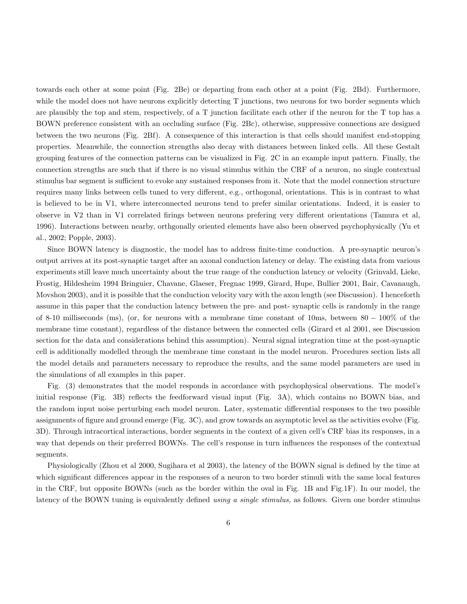towards each other at some point (Fig. 2Be) or departing from each other at a point (Fig. 2Bd). Furthermore, while the model does not have neurons explicitly detecting T junctions, two neurons for two border segments which are plausibly the top and stem, respectively, of a T junction facilitate each other if the neuron for the T top has a BOWN preference consistent with an occluding surface (Fig. 2Bc), otherwise, suppressive connections are designed between the two neurons (Fig. 2Bf). A consequence of this interaction is that cells should manifest end-stopping properties. Meanwhile, the connection strengths also decay with distances between linked cells. All these Gestalt grouping features of the connection patterns can be visualized in Fig. 2C in an example input pattern. Finally, the connection strengths are such that if there is no visual stimulus within the CRF of a neuron, no single contextual stimulus bar segment is sufficient to evoke any sustained responses from it. Note that the model connection structure requires many links between cells tuned to very different, e.g., orthogonal, orientations. This is in contrast to what is believed to be in V1, where interconnected neurons tend to prefer similar orientations. Indeed, it is easier to observe in V2 than in V1 correlated firings between neurons prefering very different orientations (Tamura et al, 1996). Interactions between nearby, orthgonally oriented elements have also been observed psychophysically (Yu et al., 2002; Popple, 2003).

Since BOWN latency is diagnostic, the model has to address finite-time conduction. A pre-synaptic neuron's output arrives at its post-synaptic target after an axonal conduction latency or delay. The existing data from various experiments still leave much uncertainty about the true range of the conduction latency or velocity (Grinvald, Lieke, Frostig, Hildesheim 1994 Bringuier, Chavane, Glaeser, Fregnac 1999, Girard, Hupe, Bullier 2001, Bair, Cavanaugh, Movshon 2003), and it is possible that the conduction velocity vary with the axon length (see Discussion). I henceforth assume in this paper that the conduction latency between the pre- and post- synaptic cells is randomly in the range of 8-10 milliseconds (ms), (or, for neurons with a membrane time constant of 10ms, between 80 − 100% of the membrane time constant), regardless of the distance between the connected cells (Girard et al 2001, see Discussion section for the data and considerations behind this assumption). Neural signal integration time at the post-synaptic cell is additionally modelled through the membrane time constant in the model neuron. Procedures section lists all the model details and parameters necessary to reproduce the results, and the same model parameters are used in the simulations of all examples in this paper.

Fig. (3) demonstrates that the model responds in accordance with psychophysical observations. The model's initial response (Fig. 3B) reflects the feedforward visual input (Fig. 3A), which contains no BOWN bias, and the random input noise perturbing each model neuron. Later, systematic differential responses to the two possible assignments of figure and ground emerge (Fig. 3C), and grow towards an asymptotic level as the activities evolve (Fig. 3D). Through intracortical interactions, border segments in the context of a given cell's CRF bias its responses, in a way that depends on their preferred BOWNs. The cell's response in turn influences the responses of the contextual segments.

Physiologically (Zhou et al 2000, Sugihara et al 2003), the latency of the BOWN signal is defined by the time at which significant differences appear in the responses of a neuron to two border stimuli with the same local features in the CRF, but opposite BOWNs (such as the border within the oval in Fig. 1B and Fig.1F). In our model, the latency of the BOWN tuning is equivalently defined using a single stimulus, as follows. Given one border stimulus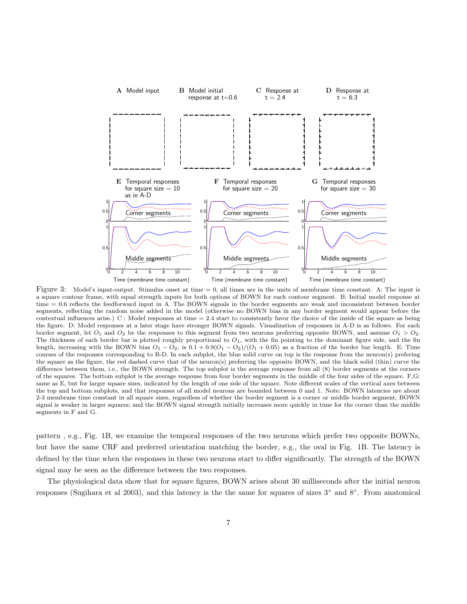

Figure 3: Model's input-output. Stimulus onset at time = 0, all times are in the units of membrane time constant. A: The input is a square contour frame, with equal strength inputs for both options of BOWN for each contour segment. B: Initial model response at time = 0.6 reflects the feedforward input in A. The BOWN signals in the border segments are weak and inconsistent between border segments, reflecting the random noise added in the model (otherwise no BOWN bias in any border segment would appear before the contextual influences arise.) C : Model responses at time = 2.4 start to consistently favor the choice of the inside of the square as being the figure. D: Model responses at a later stage have stronger BOWN signals. Visualization of responses in A-D is as follows. For each border segment, let  $O_1$  and  $O_2$  be the responses to this segment from two neurons preferring opposite BOWN, and assume  $O_1 > O_2$ . The thickness of each border bar is plotted roughly proportional to  $O<sub>1</sub>$ , with the fin pointing to the dominant figure side, and the fin length, increasing with the BOWN bias  $O_1 - O_2$ , is  $0.1 + 0.9(O_1 - O_2)/(O_1 + 0.05)$  as a fraction of the border bar length. E: Time courses of the responses corresponding to B-D. In each subplot, the blue solid curve on top is the response from the neuron(s) prefering the square as the figure, the red dashed curve that of the neuron(s) preferring the opposite BOWN, and the black solid (thin) curve the difference between them, i.e., the BOWN strength. The top subplot is the average response from all (8) border segments at the corners of the squares. The bottom subplot is the average response from four border segments in the middle of the four sides of the square. F,G: same as E, but for larger square sizes, indicated by the length of one side of the square. Note different scales of the vertical axes between the top and bottom subplots, and that responses of all model neurons are bounded between 0 and 1. Note: BOWN latencies are about 2-3 membrane time constant in all square sizes, regardless of whether the border segment is a corner or middle border segment; BOWN signal is weaker in larger squares; and the BOWN signal strength initially increases more quickly in time for the corner than the middle segments in F and G.

pattern , e.g., Fig. 1B, we examine the temporal responses of the two neurons which prefer two opposite BOWNs, but have the same CRF and preferred orientation matching the border, e.g., the oval in Fig. 1B. The latency is defined by the time when the responses in these two neurons start to differ significantly. The strength of the BOWN signal may be seen as the difference between the two responses.

The physiological data show that for square figures, BOWN arises about 30 milliseconds after the initial neuron responses (Sugihara et al 2003), and this latency is the the same for squares of sizes 3° and 8°. From anatomical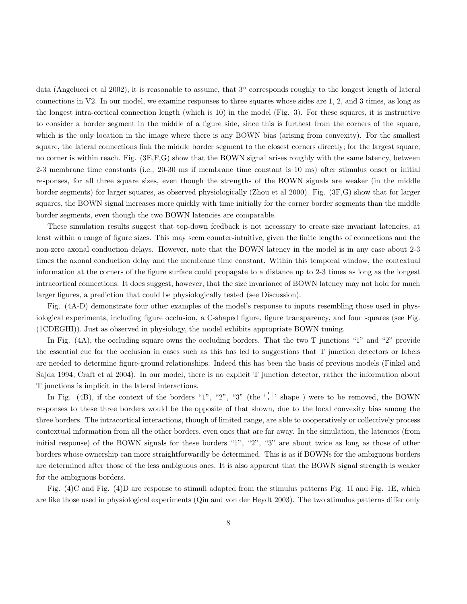data (Angelucci et al 2002), it is reasonable to assume, that 3° corresponds roughly to the longest length of lateral connections in V2. In our model, we examine responses to three squares whose sides are 1, 2, and 3 times, as long as the longest intra-cortical connection length (which is 10) in the model (Fig. 3). For these squares, it is instructive to consider a border segment in the middle of a figure side, since this is furthest from the corners of the square, which is the only location in the image where there is any BOWN bias (arising from convexity). For the smallest square, the lateral connections link the middle border segment to the closest corners directly; for the largest square, no corner is within reach. Fig. (3E,F,G) show that the BOWN signal arises roughly with the same latency, between 2-3 membrane time constants (i.e., 20-30 ms if membrane time constant is 10 ms) after stimulus onset or initial responses, for all three square sizes, even though the strengths of the BOWN signals are weaker (in the middle border segments) for larger squares, as observed physiologically (Zhou et al 2000). Fig. (3F,G) show that for larger squares, the BOWN signal increases more quickly with time initially for the corner border segments than the middle border segments, even though the two BOWN latencies are comparable.

These simulation results suggest that top-down feedback is not necessary to create size invariant latencies, at least within a range of figure sizes. This may seem counter-intuitive, given the finite lengths of connections and the non-zero axonal conduction delays. However, note that the BOWN latency in the model is in any case about 2-3 times the axonal conduction delay and the membrane time constant. Within this temporal window, the contextual information at the corners of the figure surface could propagate to a distance up to 2-3 times as long as the longest intracortical connections. It does suggest, however, that the size invariance of BOWN latency may not hold for much larger figures, a prediction that could be physiologically tested (see Discussion).

Fig. (4A-D) demonstrate four other examples of the model's response to inputs resembling those used in physiological experiments, including figure occlusion, a C-shaped figure, figure transparency, and four squares (see Fig. (1CDEGHI)). Just as observed in physiology, the model exhibits appropriate BOWN tuning.

In Fig. (4A), the occluding square owns the occluding borders. That the two T junctions "1" and "2" provide the essential cue for the occlusion in cases such as this has led to suggestions that T junction detectors or labels are needed to determine figure-ground relationships. Indeed this has been the basis of previous models (Finkel and Sajda 1994, Craft et al 2004). In our model, there is no explicit T junction detector, rather the information about T junctions is implicit in the lateral interactions.

In Fig. (4B), if the context of the borders "1", "2", "3" (the  $\cdot \overline{\square}$  shape) were to be removed, the BOWN responses to these three borders would be the opposite of that shown, due to the local convexity bias among the three borders. The intracortical interactions, though of limited range, are able to cooperatively or collectively process contextual information from all the other borders, even ones that are far away. In the simulation, the latencies (from initial response) of the BOWN signals for these borders "1", "2", "3" are about twice as long as those of other borders whose ownership can more straightforwardly be determined. This is as if BOWNs for the ambiguous borders are determined after those of the less ambiguous ones. It is also apparent that the BOWN signal strength is weaker for the ambiguous borders.

Fig. (4)C and Fig. (4)D are response to stimuli adapted from the stimulus patterns Fig. 1I and Fig. 1E, which are like those used in physiological experiments (Qiu and von der Heydt 2003). The two stimulus patterns differ only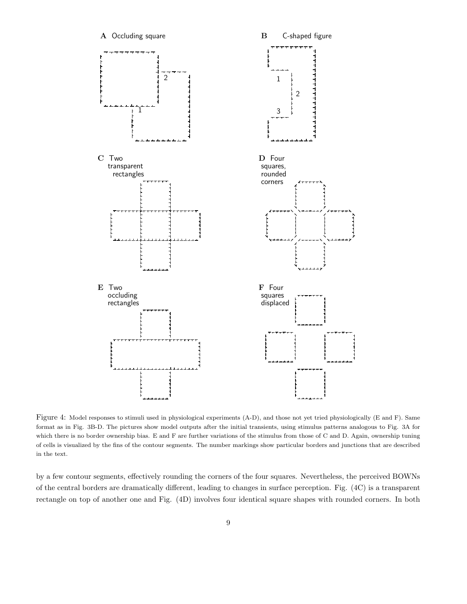

Figure 4: Model responses to stimuli used in physiological experiments (A-D), and those not yet tried physiologically (E and F). Same format as in Fig. 3B-D. The pictures show model outputs after the initial transients, using stimulus patterns analogous to Fig. 3A for which there is no border ownership bias. E and F are further variations of the stimulus from those of C and D. Again, ownership tuning of cells is visualized by the fins of the contour segments. The number markings show particular borders and junctions that are described in the text.

by a few contour segments, effectively rounding the corners of the four squares. Nevertheless, the perceived BOWNs of the central borders are dramatically different, leading to changes in surface perception. Fig. (4C) is a transparent rectangle on top of another one and Fig. (4D) involves four identical square shapes with rounded corners. In both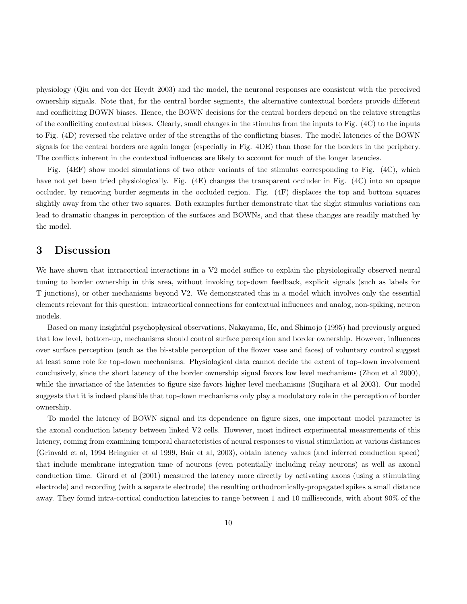physiology (Qiu and von der Heydt 2003) and the model, the neuronal responses are consistent with the perceived ownership signals. Note that, for the central border segments, the alternative contextual borders provide different and confliciting BOWN biases. Hence, the BOWN decisions for the central borders depend on the relative strengths of the confliciting contextual biases. Clearly, small changes in the stimulus from the inputs to Fig. (4C) to the inputs to Fig. (4D) reversed the relative order of the strengths of the conflicting biases. The model latencies of the BOWN signals for the central borders are again longer (especially in Fig. 4DE) than those for the borders in the periphery. The conflicts inherent in the contextual influences are likely to account for much of the longer latencies.

Fig. (4EF) show model simulations of two other variants of the stimulus corresponding to Fig. (4C), which have not yet been tried physiologically. Fig. (4E) changes the transparent occluder in Fig. (4C) into an opaque occluder, by removing border segments in the occluded region. Fig. (4F) displaces the top and bottom squares slightly away from the other two squares. Both examples further demonstrate that the slight stimulus variations can lead to dramatic changes in perception of the surfaces and BOWNs, and that these changes are readily matched by the model.

## 3 Discussion

We have shown that intracortical interactions in a V2 model suffice to explain the physiologically observed neural tuning to border ownership in this area, without invoking top-down feedback, explicit signals (such as labels for T junctions), or other mechanisms beyond V2. We demonstrated this in a model which involves only the essential elements relevant for this question: intracortical connections for contextual influences and analog, non-spiking, neuron models.

Based on many insightful psychophysical observations, Nakayama, He, and Shimojo (1995) had previously argued that low level, bottom-up, mechanisms should control surface perception and border ownership. However, influences over surface perception (such as the bi-stable perception of the flower vase and faces) of voluntary control suggest at least some role for top-down mechanisms. Physiological data cannot decide the extent of top-down involvement conclusively, since the short latency of the border ownership signal favors low level mechanisms (Zhou et al 2000), while the invariance of the latencies to figure size favors higher level mechanisms (Sugihara et al 2003). Our model suggests that it is indeed plausible that top-down mechanisms only play a modulatory role in the perception of border ownership.

To model the latency of BOWN signal and its dependence on figure sizes, one important model parameter is the axonal conduction latency between linked V2 cells. However, most indirect experimental measurements of this latency, coming from examining temporal characteristics of neural responses to visual stimulation at various distances (Grinvald et al, 1994 Bringuier et al 1999, Bair et al, 2003), obtain latency values (and inferred conduction speed) that include membrane integration time of neurons (even potentially including relay neurons) as well as axonal conduction time. Girard et al (2001) measured the latency more directly by activating axons (using a stimulating electrode) and recording (with a separate electrode) the resulting orthodromically-propagated spikes a small distance away. They found intra-cortical conduction latencies to range between 1 and 10 milliseconds, with about 90% of the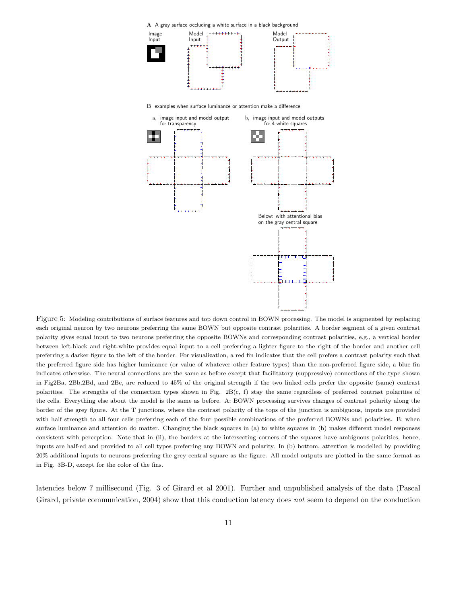A A gray surface occluding a white surface in a black background



B examples when surface luminance or attention make a difference



Figure 5: Modeling contributions of surface features and top down control in BOWN processing. The model is augmented by replacing each original neuron by two neurons preferring the same BOWN but opposite contrast polarities. A border segment of a given contrast polarity gives equal input to two neurons preferring the opposite BOWNs and corresponding contrast polarities, e.g., a vertical border between left-black and right-white provides equal input to a cell preferring a lighter figure to the right of the border and another cell preferring a darker figure to the left of the border. For visualization, a red fin indicates that the cell prefers a contrast polarity such that the preferred figure side has higher luminance (or value of whatever other feature types) than the non-preferred figure side, a blue fin indicates otherwise. The neural connections are the same as before except that facilitatory (suppressive) connections of the type shown in Fig2Ba, 2Bb,2Bd, and 2Be, are reduced to 45% of the original strength if the two linked cells prefer the opposite (same) contrast polarities. The strengths of the connection types shown in Fig. 2B(c, f) stay the same regardless of preferred contrast polarities of the cells. Everything else about the model is the same as before. A: BOWN processing survives changes of contrast polarity along the border of the grey figure. At the T junctions, where the contrast polarity of the tops of the junction is ambiguous, inputs are provided with half strength to all four cells preferring each of the four possible combinations of the preferred BOWNs and polarities. B: when surface luminance and attention do matter. Changing the black squares in (a) to white squares in (b) makes different model responses consistent with perception. Note that in (ii), the borders at the intersecting corners of the squares have ambiguous polarities, hence, inputs are half-ed and provided to all cell types preferring any BOWN and polarity. In (b) bottom, attention is modelled by providing 20% additional inputs to neurons preferring the grey central square as the figure. All model outputs are plotted in the same format as in Fig. 3B-D, except for the color of the fins.

latencies below 7 millisecond (Fig. 3 of Girard et al 2001). Further and unpublished analysis of the data (Pascal Girard, private communication, 2004) show that this conduction latency does not seem to depend on the conduction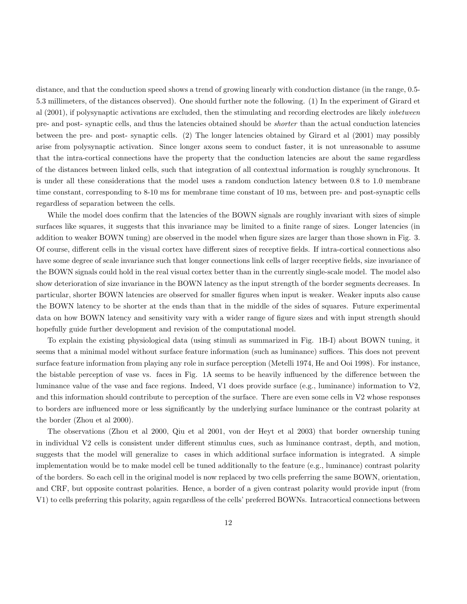distance, and that the conduction speed shows a trend of growing linearly with conduction distance (in the range, 0.5- 5.3 millimeters, of the distances observed). One should further note the following. (1) In the experiment of Girard et al (2001), if polysynaptic activations are excluded, then the stimulating and recording electrodes are likely inbetween pre- and post- synaptic cells, and thus the latencies obtained should be shorter than the actual conduction latencies between the pre- and post- synaptic cells. (2) The longer latencies obtained by Girard et al (2001) may possibly arise from polysynaptic activation. Since longer axons seem to conduct faster, it is not unreasonable to assume that the intra-cortical connections have the property that the conduction latencies are about the same regardless of the distances between linked cells, such that integration of all contextual information is roughly synchronous. It is under all these considerations that the model uses a random conduction latency between 0.8 to 1.0 membrane time constant, corresponding to 8-10 ms for membrane time constant of 10 ms, between pre- and post-synaptic cells regardless of separation between the cells.

While the model does confirm that the latencies of the BOWN signals are roughly invariant with sizes of simple surfaces like squares, it suggests that this invariance may be limited to a finite range of sizes. Longer latencies (in addition to weaker BOWN tuning) are observed in the model when figure sizes are larger than those shown in Fig. 3. Of course, different cells in the visual cortex have different sizes of receptive fields. If intra-cortical connections also have some degree of scale invariance such that longer connections link cells of larger receptive fields, size invariance of the BOWN signals could hold in the real visual cortex better than in the currently single-scale model. The model also show deterioration of size invariance in the BOWN latency as the input strength of the border segments decreases. In particular, shorter BOWN latencies are observed for smaller figures when input is weaker. Weaker inputs also cause the BOWN latency to be shorter at the ends than that in the middle of the sides of squares. Future experimental data on how BOWN latency and sensitivity vary with a wider range of figure sizes and with input strength should hopefully guide further development and revision of the computational model.

To explain the existing physiological data (using stimuli as summarized in Fig. 1B-I) about BOWN tuning, it seems that a minimal model without surface feature information (such as luminance) suffices. This does not prevent surface feature information from playing any role in surface perception (Metelli 1974, He and Ooi 1998). For instance, the bistable perception of vase vs. faces in Fig. 1A seems to be heavily influenced by the difference between the luminance value of the vase and face regions. Indeed, V1 does provide surface (e.g., luminance) information to V2, and this information should contribute to perception of the surface. There are even some cells in V2 whose responses to borders are influenced more or less significantly by the underlying surface luminance or the contrast polarity at the border (Zhou et al 2000).

The observations (Zhou et al 2000, Qiu et al 2001, von der Heyt et al 2003) that border ownership tuning in individual V2 cells is consistent under different stimulus cues, such as luminance contrast, depth, and motion, suggests that the model will generalize to cases in which additional surface information is integrated. A simple implementation would be to make model cell be tuned additionally to the feature (e.g., luminance) contrast polarity of the borders. So each cell in the original model is now replaced by two cells preferring the same BOWN, orientation, and CRF, but opposite contrast polarities. Hence, a border of a given contrast polarity would provide input (from V1) to cells preferring this polarity, again regardless of the cells' preferred BOWNs. Intracortical connections between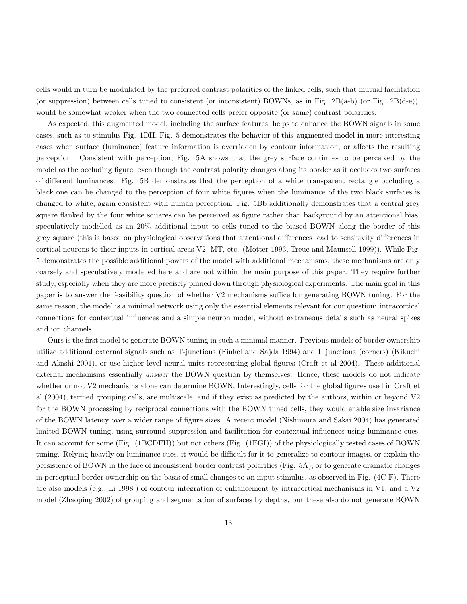cells would in turn be modulated by the preferred contrast polarities of the linked cells, such that mutual facilitation (or suppression) between cells tuned to consistent (or inconsistent) BOWNs, as in Fig.  $2B(a-b)$  (or Fig.  $2B(d-e)$ ), would be somewhat weaker when the two connected cells prefer opposite (or same) contrast polarities.

As expected, this augmented model, including the surface features, helps to enhance the BOWN signals in some cases, such as to stimulus Fig. 1DH. Fig. 5 demonstrates the behavior of this augmented model in more interesting cases when surface (luminance) feature information is overridden by contour information, or affects the resulting perception. Consistent with perception, Fig. 5A shows that the grey surface continues to be perceived by the model as the occluding figure, even though the contrast polarity changes along its border as it occludes two surfaces of different luminances. Fig. 5B demonstrates that the perception of a white transparent rectangle occluding a black one can be changed to the perception of four white figures when the luminance of the two black surfaces is changed to white, again consistent with human perception. Fig. 5Bb additionally demonstrates that a central grey square flanked by the four white squares can be perceived as figure rather than background by an attentional bias, speculatively modelled as an 20% additional input to cells tuned to the biased BOWN along the border of this grey square (this is based on physiological observations that attentional differences lead to sensitivity differences in cortical neurons to their inputs in cortical areas V2, MT, etc. (Motter 1993, Treue and Maunsell 1999)). While Fig. 5 demonstrates the possible additional powers of the model with additional mechanisms, these mechanisms are only coarsely and speculatively modelled here and are not within the main purpose of this paper. They require further study, especially when they are more precisely pinned down through physiological experiments. The main goal in this paper is to answer the feasibility question of whether V2 mechanisms suffice for generating BOWN tuning. For the same reason, the model is a minimal network using only the essential elements relevant for our question: intracortical connections for contextual influences and a simple neuron model, without extraneous details such as neural spikes and ion channels.

Ours is the first model to generate BOWN tuning in such a minimal manner. Previous models of border ownership utilize additional external signals such as T-junctions (Finkel and Sajda 1994) and L junctions (corners) (Kikuchi and Akashi 2001), or use higher level neural units representing global figures (Craft et al 2004). These additional external mechanisms essentially answer the BOWN question by themselves. Hence, these models do not indicate whether or not V2 mechanisms alone can determine BOWN. Interestingly, cells for the global figures used in Craft et al (2004), termed grouping cells, are multiscale, and if they exist as predicted by the authors, within or beyond V2 for the BOWN processing by reciprocal connections with the BOWN tuned cells, they would enable size invariance of the BOWN latency over a wider range of figure sizes. A recent model (Nishimura and Sakai 2004) has generated limited BOWN tuning, using surround suppression and facilitation for contextual influences using luminance cues. It can account for some (Fig. (1BCDFH)) but not others (Fig. (1EGI)) of the physiologically tested cases of BOWN tuning. Relying heavily on luminance cues, it would be difficult for it to generalize to contour images, or explain the persistence of BOWN in the face of inconsistent border contrast polarities (Fig. 5A), or to generate dramatic changes in perceptual border ownership on the basis of small changes to an input stimulus, as observed in Fig. (4C-F). There are also models (e.g., Li 1998 ) of contour integration or enhancement by intracortical mechanisms in V1, and a V2 model (Zhaoping 2002) of grouping and segmentation of surfaces by depths, but these also do not generate BOWN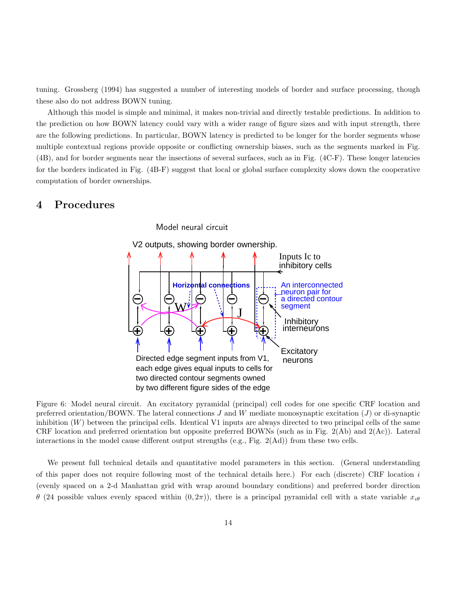tuning. Grossberg (1994) has suggested a number of interesting models of border and surface processing, though these also do not address BOWN tuning.

Although this model is simple and minimal, it makes non-trivial and directly testable predictions. In addition to the prediction on how BOWN latency could vary with a wider range of figure sizes and with input strength, there are the following predictions. In particular, BOWN latency is predicted to be longer for the border segments whose multiple contextual regions provide opposite or conflicting ownership biases, such as the segments marked in Fig. (4B), and for border segments near the insections of several surfaces, such as in Fig. (4C-F). These longer latencies for the borders indicated in Fig. (4B-F) suggest that local or global surface complexity slows down the cooperative computation of border ownerships.

# 4 Procedures



Figure 6: Model neural circuit. An excitatory pyramidal (principal) cell codes for one specific CRF location and preferred orientation/BOWN. The lateral connections  $J$  and  $W$  mediate monosynaptic excitation  $(J)$  or di-synaptic inhibition  $(W)$  between the principal cells. Identical V1 inputs are always directed to two principal cells of the same CRF location and preferred orientation but opposite preferred BOWNs (such as in Fig. 2(Ab) and 2(Ac)). Lateral interactions in the model cause different output strengths (e.g., Fig. 2(Ad)) from these two cells.

We present full technical details and quantitative model parameters in this section. (General understanding of this paper does not require following most of the technical details here.) For each (discrete) CRF location  $i$ (evenly spaced on a 2-d Manhattan grid with wrap around boundary conditions) and preferred border direction θ (24 possible values evenly spaced within  $(0, 2π)$ ), there is a principal pyramidal cell with a state variable  $x_{iθ}$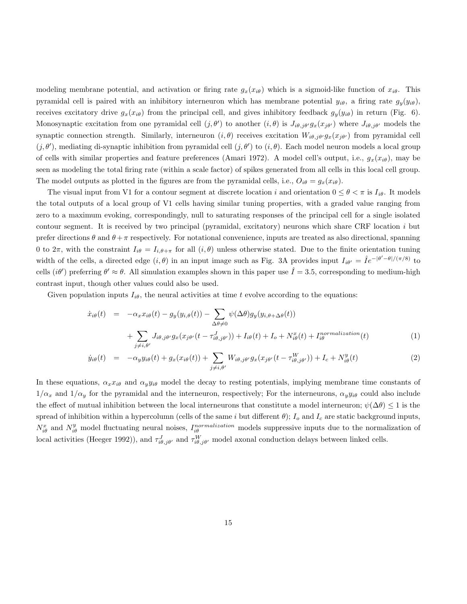modeling membrane potential, and activation or firing rate  $g_x(x_{i\theta})$  which is a sigmoid-like function of  $x_{i\theta}$ . This pyramidal cell is paired with an inhibitory interneuron which has membrane potential  $y_{i\theta}$ , a firing rate  $g_y(y_{i\theta})$ , receives excitatory drive  $g_x(x_{i\theta})$  from the principal cell, and gives inhibitory feedback  $g_y(y_{i\theta})$  in return (Fig. 6). Monosynaptic excitation from one pyramidal cell  $(j, \theta')$  to another  $(i, \theta)$  is  $J_{i\theta, j\theta'}g_x(x_{j\theta'})$  where  $J_{i\theta, j\theta'}$  models the synaptic connection strength. Similarly, interneuron  $(i, \theta)$  receives excitation  $W_{i\theta, j\theta'}g_x(x_{j\theta'})$  from pyramidal cell  $(j, \theta')$ , mediating di-synaptic inhibition from pyramidal cell  $(j, \theta')$  to  $(i, \theta)$ . Each model neuron models a local group of cells with similar properties and feature preferences (Amari 1972). A model cell's output, i.e.,  $g_x(x_{i\theta})$ , may be seen as modeling the total firing rate (within a scale factor) of spikes generated from all cells in this local cell group. The model outputs as plotted in the figures are from the pyramidal cells, i.e.,  $O_{i\theta} = g_x(x_{i\theta})$ .

The visual input from V1 for a contour segment at discrete location i and orientation  $0 \le \theta < \pi$  is  $I_{i\theta}$ . It models the total outputs of a local group of V1 cells having similar tuning properties, with a graded value ranging from zero to a maximum evoking, correspondingly, null to saturating responses of the principal cell for a single isolated contour segment. It is received by two principal (pyramidal, excitatory) neurons which share CRF location i but prefer directions  $\theta$  and  $\theta + \pi$  respectively. For notational convenience, inputs are treated as also directional, spanning 0 to  $2\pi$ , with the constraint  $I_{i\theta} = I_{i,\theta+\pi}$  for all  $(i,\theta)$  unless otherwise stated. Due to the finite orientation tuning width of the cells, a directed edge  $(i, \theta)$  in an input image such as Fig. 3A provides input  $I_{i\theta'} = \hat{I}e^{-|\theta'-\theta|/(\pi/8)}$  to cells (i $\theta'$ ) preferring  $\theta' \approx \theta$ . All simulation examples shown in this paper use  $\hat{I} = 3.5$ , corresponding to medium-high contrast input, though other values could also be used.

Given population inputs  $I_{i\theta}$ , the neural activities at time t evolve according to the equations:

$$
\dot{x}_{i\theta}(t) = -\alpha_x x_{i\theta}(t) - g_y(y_{i,\theta}(t)) - \sum_{\Delta\theta \neq 0} \psi(\Delta\theta) g_y(y_{i,\theta + \Delta\theta}(t)) \n+ \sum J_{i\theta, j\theta'} g_x(x_{j\theta'}(t - \tau_{i\theta, j\theta'}^J)) + I_{i\theta}(t) + I_o + N_{i\theta}^x(t) + I_{i\theta}^{normalization}(t)
$$
\n(1)

$$
\dot{y}_{i\theta}(t) = -\alpha_y y_{i\theta}(t) + g_x(x_{i\theta}(t)) + \sum_{j \neq i, \theta'} W_{i\theta, j\theta'} g_x(x_{j\theta'}(t - \tau_{i\theta, j\theta'}^W)) + I_c + N_{i\theta}^y(t)
$$
\n(2)

In these equations,  $\alpha_x x_{i\theta}$  and  $\alpha_y y_{i\theta}$  model the decay to resting potentials, implying membrane time constants of  $1/\alpha_x$  and  $1/\alpha_y$  for the pyramidal and the interneuron, respectively; For the interneurons,  $\alpha_y y_{i\theta}$  could also include the effect of mutual inhibition between the local interneurons that constitute a model interneuron;  $\psi(\Delta\theta) \leq 1$  is the spread of inhibition within a hypercolumn (cells of the same i but different  $\theta$ );  $I_o$  and  $I_c$  are static background inputs,  $N_{i\theta}^x$  and  $N_{i\theta}^y$  model fluctuating neural noises,  $I_{i\theta}^{normalization}$  models suppressive inputs due to the normalization of local activities (Heeger 1992)), and  $\tau_{i\theta,j\theta'}^J$  and  $\tau_{i\theta,j\theta'}^W$  model axonal conduction delays between linked cells.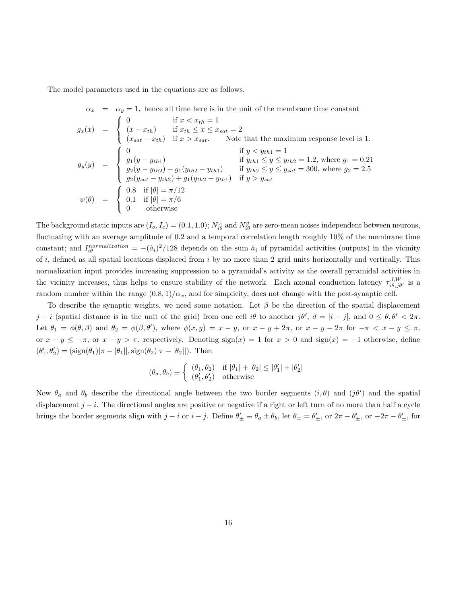The model parameters used in the equations are as follows.

$$
\alpha_x
$$
 =  $\alpha_y$  = 1, hence all time here is in the unit of the membrane time constant

$$
g_x(x) = \begin{cases} 0 & \text{if } x < x_{th} = 1 \\ (x - x_{th}) & \text{if } x_{th} \le x \le x_{sat} = 2 \\ (x_{sat} - x_{th}) & \text{if } x > x_{sat}. \end{cases}
$$
 Note that the maximum response level is 1.  
\n
$$
g_y(y) = \begin{cases} 0 & \text{if } y < y_{th1} = 1 \\ g_1(y - y_{th1}) & \text{if } y_{th1} \le y \le y_{th2} = 1.2, \text{ where } g_1 = 0.21 \\ g_2(y - y_{th2}) + g_1(y_{th2} - y_{th1}) & \text{if } y_{th2} \le y \le y_{sat} = 300, \text{ where } g_2 = 2.5 \\ g_2(y_{sat} - y_{th2}) + g_1(y_{th2} - y_{th1}) & \text{if } y > y_{sat} \end{cases}
$$
  
\n
$$
\psi(\theta) = \begin{cases} 0.8 & \text{if } |\theta| = \pi/12 \\ 0.1 & \text{if } |\theta| = \pi/6 \\ 0 & \text{otherwise} \end{cases}
$$

The background static inputs are  $(I_o, I_c) = (0.1, 1.0)$ ;  $N_{i\theta}^x$  and  $N_{i\theta}^y$  are zero-mean noises independent between neurons, fluctuating with an average amplitude of 0.2 and a temporal correlation length roughly 10% of the membrane time constant; and  $I_{i\theta}^{normalization} = -(\hat{a}_i)^2/128$  depends on the sum  $\hat{a}_i$  of pyramidal activities (outputs) in the vicinity of i, defined as all spatial locations displaced from i by no more than 2 grid units horizontally and vertically. This normalization input provides increasing suppression to a pyramidal's activity as the overall pyramidal activities in the vicinity increases, thus helps to ensure stability of the network. Each axonal conduction latency  $\tau_{i\theta,j\theta'}^{J,W}$  is a random number within the range  $(0.8, 1)/\alpha_x$ , and for simplicity, does not change with the post-synaptic cell.

To describe the synaptic weights, we need some notation. Let  $\beta$  be the direction of the spatial displacement  $j - i$  (spatial distance is in the unit of the grid) from one cell i $\theta$  to another  $j\theta'$ ,  $d = |i - j|$ , and  $0 \le \theta, \theta' < 2\pi$ . Let  $\theta_1 = \phi(\theta, \beta)$  and  $\theta_2 = \phi(\beta, \theta')$ , where  $\phi(x, y) = x - y$ , or  $x - y + 2\pi$ , or  $x - y - 2\pi$  for  $-\pi < x - y \leq \pi$ , or  $x - y \leq -\pi$ , or  $x - y > \pi$ , respectively. Denoting sign(x) = 1 for  $x > 0$  and sign(x) = -1 otherwise, define  $(\theta'_1, \theta'_2) = (\text{sign}(\theta_1)|\pi - |\theta_1|, \text{sign}(\theta_2)|\pi - |\theta_2|).$  Then

$$
(\theta_a, \theta_b) \equiv \begin{cases} (\theta_1, \theta_2) & \text{if } |\theta_1| + |\theta_2| \le |\theta_1'| + |\theta_2'| \\ (\theta_1', \theta_2') & \text{otherwise} \end{cases}
$$

Now  $\theta_a$  and  $\theta_b$  describe the directional angle between the two border segments  $(i, \theta)$  and  $(j\theta')$  and the spatial displacement  $j - i$ . The directional angles are positive or negative if a right or left turn of no more than half a cycle brings the border segments align with  $j - i$  or  $i - j$ . Define  $\theta'_{\pm} \equiv \theta_a \pm \theta_b$ , let  $\theta_{\pm} = \theta'_{\pm}$ , or  $2\pi - \theta'_{\pm}$ , or  $-2\pi - \theta'_{\pm}$ , for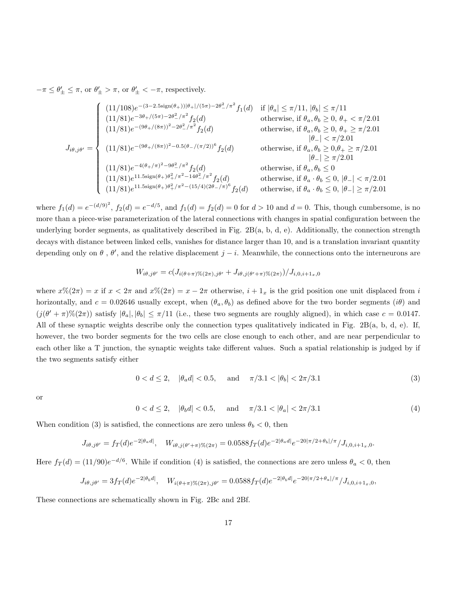$-\pi \leq \theta'_{\pm} \leq \pi$ , or  $\theta'_{\pm} > \pi$ , or  $\theta'_{\pm} < -\pi$ , respectively.

$$
J_{i\theta,j\theta'} = \begin{cases}\n(11/108)e^{-(3-2.5\text{sign}(\theta+))|\theta_{+}|/(5\pi)-2\theta_{-}^{2}/\pi^{2}}f_{1}(d) & \text{if } |\theta_{a}| \leq \pi/11, |\theta_{b}| \leq \pi/11 \\
(11/81)e^{-3\theta_{+}/(5\pi)-2\theta_{-}^{2}/\pi^{2}}f_{2}(d) & \text{otherwise, if } \theta_{a},\theta_{b} \geq 0, \theta_{+} < \pi/2.01 \\
(11/81)e^{-(9\theta_{+}/(8\pi))^{2}-2\theta_{-}^{2}/\pi^{2}}f_{2}(d) & \text{otherwise, if } \theta_{a},\theta_{b} \geq 0, \theta_{+} \geq \pi/2.01 \\
(11/81)e^{-(9\theta_{+}/(8\pi))^{2}-0.5(\theta_{-}/(\pi/2))^{6}}f_{2}(d) & \text{otherwise, if } \theta_{a},\theta_{b} \geq 0, \theta_{+} \geq \pi/2.01 \\
(11/81)e^{-4(\theta_{+}/\pi)^{2}-9\theta_{-}^{2}/\pi^{2}}f_{2}(d) & \text{otherwise, if } \theta_{a},\theta_{b} \leq 0, \theta_{+} \geq \pi/2.01 \\
(11/81)e^{11.5\text{sign}(\theta_{+})\theta_{+}^{2}/\pi^{2}-14\theta_{-}^{2}/\pi^{2}}f_{2}(d) & \text{otherwise, if } \theta_{a},\theta_{b} \leq 0 \\
(11/81)e^{11.5\text{sign}(\theta_{+})\theta_{+}^{2}/\pi^{2}- (15/4)(2\theta_{-}/\pi)^{6}}f_{2}(d) & \text{otherwise, if } \theta_{a} \cdot \theta_{b} \leq 0, |\theta_{-}| < \pi/2.01 \\
(11/81)e^{11.5\text{sign}(\theta_{+})\theta_{+}^{2}/\pi^{2}- (15/4)(2\theta_{-}/\pi)^{6}}f_{2}(d) & \text{otherwise, if } \theta_{a} \cdot \theta_{b} \leq 0, |\theta_{-}| \geq \pi/2.01\n\end{cases}
$$

where  $f_1(d) = e^{-(d/9)^2}$ ,  $f_2(d) = e^{-d/5}$ , and  $f_1(d) = f_2(d) = 0$  for  $d > 10$  and  $d = 0$ . This, though cumbersome, is no more than a piece-wise parameterization of the lateral connections with changes in spatial configuration between the underlying border segments, as qualitatively described in Fig. 2B(a, b, d, e). Additionally, the connection strength decays with distance between linked cells, vanishes for distance larger than 10, and is a translation invariant quantity depending only on  $\theta$ ,  $\theta'$ , and the relative displacement  $j - i$ . Meanwhile, the connections onto the interneurons are

$$
W_{i\theta,j\theta'} = c(J_{i(\theta+\pi)\%(2\pi),j\theta'} + J_{i\theta,j(\theta'+\pi)\%(2\pi)})/J_{i,0,i+1_x,0}
$$

where  $x\%(2\pi) = x$  if  $x < 2\pi$  and  $x\%(2\pi) = x - 2\pi$  otherwise,  $i + 1_x$  is the grid position one unit displaced from i horizontally, and  $c = 0.02646$  usually except, when  $(\theta_a, \theta_b)$  as defined above for the two border segments  $(i\theta)$  and  $(j(\theta' + \pi)\%(2\pi))$  satisfy  $|\theta_a|, |\theta_b| \leq \pi/11$  (i.e., these two segments are roughly aligned), in which case  $c = 0.0147$ . All of these synaptic weights describe only the connection types qualitatively indicated in Fig. 2B(a, b, d, e). If, however, the two border segments for the two cells are close enough to each other, and are near perpendicular to each other like a T junction, the synaptic weights take different values. Such a spatial relationship is judged by if the two segments satisfy either

$$
0 < d \le 2, \quad |\theta_a d| < 0.5, \quad \text{and} \quad \pi/3.1 < |\theta_b| < 2\pi/3.1 \tag{3}
$$

or

 $0 < d \le 2$ ,  $|\theta_b d| < 0.5$ , and  $\pi/3.1 < |\theta_a| < 2\pi/3.1$  (4)

When condition (3) is satisfied, the connections are zero unless  $\theta_b < 0$ , then

$$
J_{i\theta,j\theta'} = f_T(d)e^{-2|\theta_a d|}, \quad W_{i\theta,j(\theta'+\pi)\%(2\pi)} = 0.0588 f_T(d)e^{-2|\theta_a d|}e^{-20|\pi/2 + \theta_b|/\pi}/J_{i,0,i+1_x,0}.
$$

Here  $f_T(d) = (11/90)e^{-d/6}$ . While if condition (4) is satisfied, the connections are zero unless  $\theta_a < 0$ , then

$$
J_{i\theta,j\theta'} = 3f_T(d)e^{-2|\theta_b d|}, \quad W_{i(\theta+\pi)\%(2\pi),j\theta'} = 0.0588f_T(d)e^{-2|\theta_b d|}e^{-20|\pi/2 + \theta_a|/\pi}/J_{i,0,i+1_x,0},
$$

These connections are schematically shown in Fig. 2Bc and 2Bf.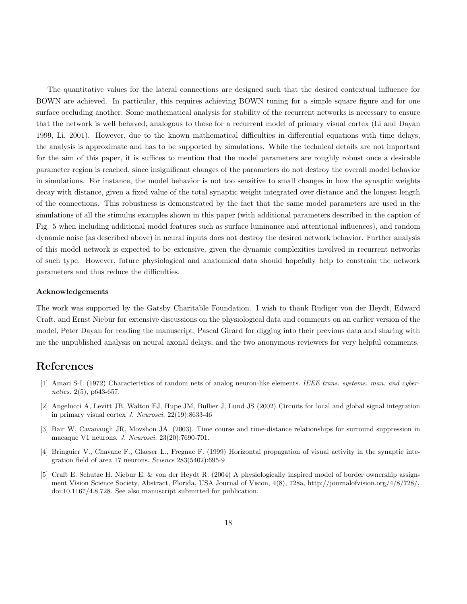The quantitative values for the lateral connections are designed such that the desired contextual influence for BOWN are achieved. In particular, this requires achieving BOWN tuning for a simple square figure and for one surface occluding another. Some mathematical analysis for stability of the recurrent networks is necessary to ensure that the network is well behaved, analogous to those for a recurrent model of primary visual cortex (Li and Dayan 1999, Li, 2001). However, due to the known mathematical difficulties in differential equations with time delays, the analysis is approximate and has to be supported by simulations. While the technical details are not important for the aim of this paper, it is suffices to mention that the model parameters are roughly robust once a desirable parameter region is reached, since insignificant changes of the parameters do not destroy the overall model behavior in simulations. For instance, the model behavior is not too sensitive to small changes in how the synaptic weights decay with distance, given a fixed value of the total synaptic weight integrated over distance and the longest length of the connections. This robustness is demonstrated by the fact that the same model parameters are used in the simulations of all the stimulus examples shown in this paper (with additional parameters described in the caption of Fig. 5 when including additional model features such as surface luminance and attentional influences), and random dynamic noise (as described above) in neural inputs does not destroy the desired network behavior. Further analysis of this model network is expected to be extensive, given the dynamic complexities involved in recurrent networks of such type. However, future physiological and anatomical data should hopefully help to constrain the network parameters and thus reduce the difficulties.

#### Acknowledgements

The work was supported by the Gatsby Charitable Foundation. I wish to thank Rudiger von der Heydt, Edward Craft, and Ernst Niebur for extensive discussions on the physiological data and comments on an earlier version of the model, Peter Dayan for reading the manuscript, Pascal Girard for digging into their previous data and sharing with me the unpublished analysis on neural axonal delays, and the two anonymous reviewers for very helpful comments.

## References

- [1] Amari S-I. (1972) Characteristics of random nets of analog neuron-like elements. IEEE trans. systems. man. and cybernetics. 2(5), p643-657.
- [2] Angelucci A, Levitt JB, Walton EJ, Hupe JM, Bullier J, Lund JS (2002) Circuits for local and global signal integration in primary visual cortex J. Neurosci. 22(19):8633-46
- [3] Bair W, Cavanaugh JR, Movshon JA. (2003). Time course and time-distance relationships for surround suppression in macaque V1 neurons. J. Neurosci. 23(20):7690-701.
- [4] Bringuier V., Chavane F., Glaeser L., Fregnac F. (1999) Horizontal propagation of visual activity in the synaptic integration field of area 17 neurons. Science 283(5402):695-9
- [5] Craft E. Schutze H. Niebur E. & von der Heydt R. (2004) A physiologically inspired model of border ownership assignment Vision Science Society, Abstract, Florida, USA Journal of Vision, 4(8), 728a, http://journalofvision.org/4/8/728/, doi:10.1167/4.8.728. See also manuscript submitted for publication.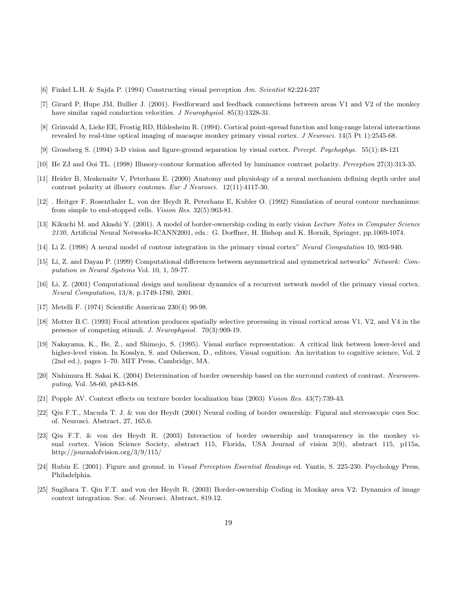- [6] Finkel L.H. & Sajda P. (1994) Constructing visual perception Am. Scientist 82:224-237
- [7] Girard P, Hupe JM, Bullier J. (2001). Feedforward and feedback connections between areas V1 and V2 of the monkey have similar rapid conduction velocities. *J Neurophysiol.* 85(3):1328-31.
- [8] Grinvald A, Lieke EE, Frostig RD, Hildesheim R. (1994). Cortical point-spread function and long-range lateral interactions revealed by real-time optical imaging of macaque monkey primary visual cortex. J Neurosci. 14(5 Pt 1):2545-68.
- [9] Grossberg S. (1994) 3-D vision and figure-ground separation by visual cortex. Percept. Psychophys. 55(1):48-121
- [10] He ZJ and Ooi TL. (1998) Illusory-contour formation affected by luminance contrast polarity. Perception 27(3):313-35.
- [11] Heider B, Meskenaite V, Peterhans E. (2000) Anatomy and physiology of a neural mechanism defining depth order and contrast polarity at illusory contours. Eur J Neurosci. 12(11):4117-30.
- [12] . Heitger F, Rosenthaler L, von der Heydt R, Peterhans E, Kubler O. (1992) Simulation of neural contour mechanisms: from simple to end-stopped cells. Vision Res. 32(5):963-81.
- [13] Kikuchi M. and Akashi Y. (2001). A model of border-ownership coding in early vision Lecture Notes in Computer Science 2130, Artificial Neural Networks-ICANN2001, eds.: G. Dorffner, H. Bishop and K. Hornik, Springer, pp.1069-1074.
- [14] Li Z. (1998) A neural model of contour integration in the primary visual cortex" Neural Computation 10, 903-940.
- [15] Li, Z. and Dayan P. (1999) Computational differences between asymmetrical and symmetrical networks" Network: Computation in Neural Systems Vol. 10, 1, 59-77.
- [16] Li, Z. (2001) Computational design and nonlinear dynamics of a recurrent network model of the primary visual cortex. Neural Computation, 13/8, p.1749-1780, 2001.
- [17] Metelli F. (1974) Scientific American 230(4) 90-98.
- [18] Motter B.C. (1993) Focal attention produces spatially selective processing in visual cortical areas V1, V2, and V4 in the presence of competing stimuli. J. Neurophysiol. 70(3):909-19.
- [19] Nakayama, K., He, Z., and Shimojo, S. (1995). Visual surface representation: A critical link between lower-level and higher-level vision. In Kosslyn, S. and Osherson, D., editors, Visual cognition: An invitation to cognitive science, Vol. 2 (2nd ed.), pages 1–70. MIT Press, Cambridge, MA.
- [20] Nishimura H. Sakai K. (2004) Determination of border ownership based on the surround context of contrast. Neurocomputing, Vol. 58-60, p843-848.
- [21] Popple AV. Context effects on texture border localization bias (2003) Vision Res. 43(7):739-43.
- [22] Qiu F.T., Macuda T. J. & von der Heydt (2001) Neural coding of border ownership: Figural and stereoscopic cues Soc. of. Neurosci. Abstract, 27, 165.6.
- [23] Qiu F.T. & von der Heydt R. (2003) Interaction of border ownership and transparency in the monkey visual cortex. Vision Science Society, abstract 115, Florida, USA Journal of vision 3(9), abstract 115, p115a, http://journalofvision.org/3/9/115/
- [24] Rubin E. (2001). Figure and ground. in Visual Perception Essential Readings ed. Yantis, S. 225-230. Psychology Press, Philadelphia.
- [25] Sugihara T. Qiu F.T. and von der Heydt R. (2003) Border-ownership Coding in Monkay area V2: Dynamics of image context integration. Soc. of. Neurosci. Abstract, 819.12.